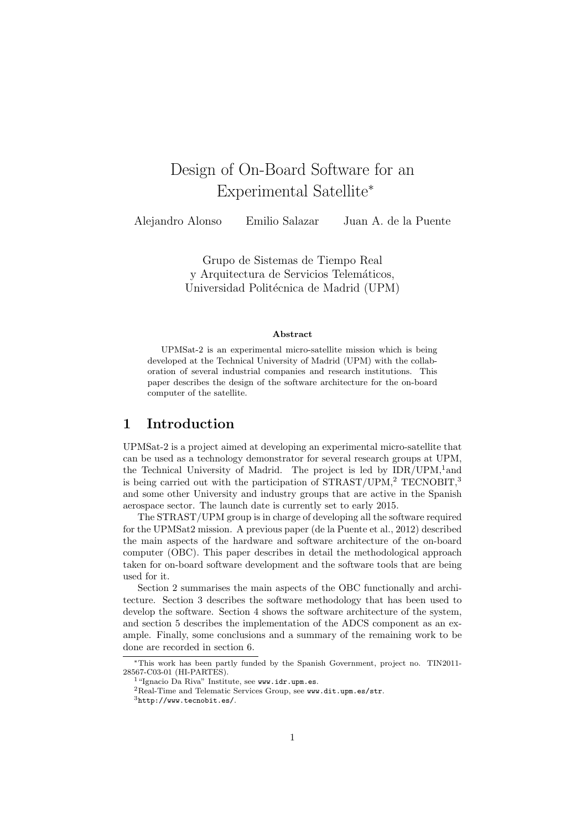# Design of On-Board Software for an Experimental Satellite<sup>∗</sup>

Alejandro Alonso Emilio Salazar Juan A. de la Puente

Grupo de Sistemas de Tiempo Real y Arquitectura de Servicios Telemáticos, Universidad Politécnica de Madrid (UPM)

#### Abstract

UPMSat-2 is an experimental micro-satellite mission which is being developed at the Technical University of Madrid (UPM) with the collaboration of several industrial companies and research institutions. This paper describes the design of the software architecture for the on-board computer of the satellite.

## 1 Introduction

UPMSat-2 is a project aimed at developing an experimental micro-satellite that can be used as a technology demonstrator for several research groups at UPM, the Technical University of Madrid. The project is led by IDR/UPM,<sup>1</sup> and is being carried out with the participation of STRAST/UPM,<sup>2</sup> TECNOBIT,<sup>3</sup> and some other University and industry groups that are active in the Spanish aerospace sector. The launch date is currently set to early 2015.

The STRAST/UPM group is in charge of developing all the software required for the UPMSat2 mission. A previous paper (de la Puente et al., 2012) described the main aspects of the hardware and software architecture of the on-board computer (OBC). This paper describes in detail the methodological approach taken for on-board software development and the software tools that are being used for it.

Section 2 summarises the main aspects of the OBC functionally and architecture. Section 3 describes the software methodology that has been used to develop the software. Section 4 shows the software architecture of the system, and section 5 describes the implementation of the ADCS component as an example. Finally, some conclusions and a summary of the remaining work to be done are recorded in section 6.

<sup>∗</sup>This work has been partly funded by the Spanish Government, project no. TIN2011- 28567-C03-01 (HI-PARTES).

<sup>1</sup>"Ignacio Da Riva" Institute, see www.idr.upm.es.

<sup>2</sup>Real-Time and Telematic Services Group, see www.dit.upm.es/str.

 $3$ http://www.tecnobit.es/.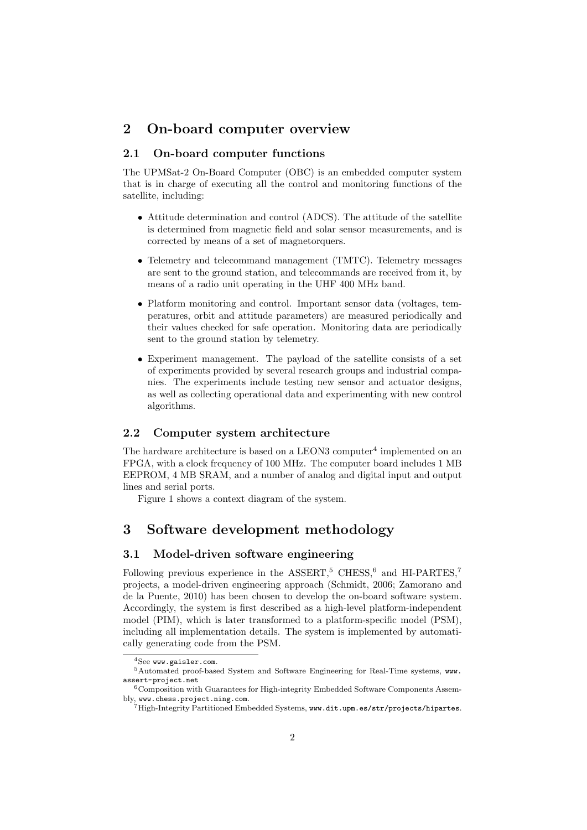## 2 On-board computer overview

### 2.1 On-board computer functions

The UPMSat-2 On-Board Computer (OBC) is an embedded computer system that is in charge of executing all the control and monitoring functions of the satellite, including:

- Attitude determination and control (ADCS). The attitude of the satellite is determined from magnetic field and solar sensor measurements, and is corrected by means of a set of magnetorquers.
- Telemetry and telecommand management (TMTC). Telemetry messages are sent to the ground station, and telecommands are received from it, by means of a radio unit operating in the UHF 400 MHz band.
- Platform monitoring and control. Important sensor data (voltages, temperatures, orbit and attitude parameters) are measured periodically and their values checked for safe operation. Monitoring data are periodically sent to the ground station by telemetry.
- Experiment management. The payload of the satellite consists of a set of experiments provided by several research groups and industrial companies. The experiments include testing new sensor and actuator designs, as well as collecting operational data and experimenting with new control algorithms.

#### 2.2 Computer system architecture

The hardware architecture is based on a LEON3 computer<sup>4</sup> implemented on an FPGA, with a clock frequency of 100 MHz. The computer board includes 1 MB EEPROM, 4 MB SRAM, and a number of analog and digital input and output lines and serial ports.

Figure 1 shows a context diagram of the system.

## 3 Software development methodology

#### 3.1 Model-driven software engineering

Following previous experience in the ASSERT,<sup>5</sup> CHESS,<sup>6</sup> and HI-PARTES,<sup>7</sup> projects, a model-driven engineering approach (Schmidt, 2006; Zamorano and de la Puente, 2010) has been chosen to develop the on-board software system. Accordingly, the system is first described as a high-level platform-independent model (PIM), which is later transformed to a platform-specific model (PSM), including all implementation details. The system is implemented by automatically generating code from the PSM.

 ${}^{4}$ See www.gaisler.com.

<sup>5</sup>Automated proof-based System and Software Engineering for Real-Time systems, www. assert-project.net

<sup>6</sup>Composition with Guarantees for High-integrity Embedded Software Components Assembly, www.chess.project.ning.com.

 $^7$ High-Integrity Partitioned Embedded Systems, www.dit.upm.es/str/projects/hipartes.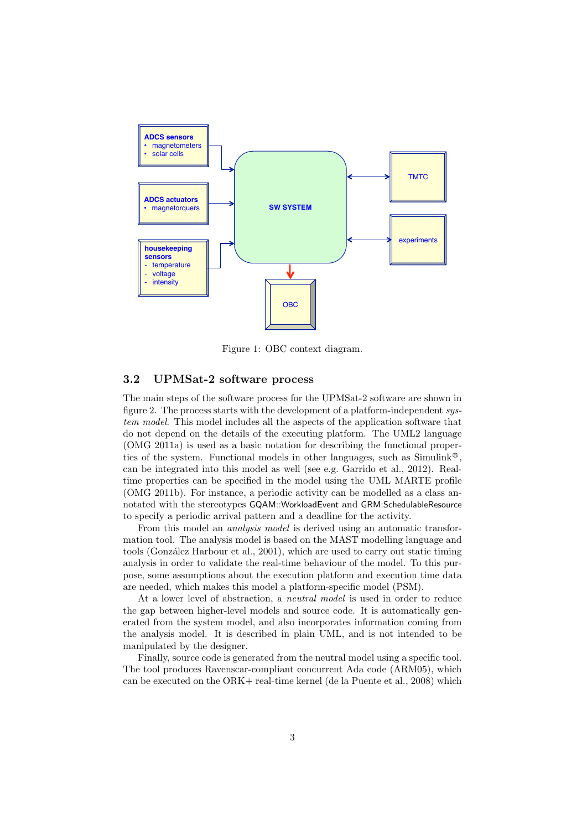

Figure 1: OBC context diagram.

#### 3.2 UPMSat-2 software process

The main steps of the software process for the UPMSat-2 software are shown in figure 2. The process starts with the development of a platform-independent system model. This model includes all the aspects of the application software that do not depend on the details of the executing platform. The UML2 language (OMG 2011a) is used as a basic notation for describing the functional properties of the system. Functional models in other languages, such as  $Simulink<sup>®</sup>$ , can be integrated into this model as well (see e.g. Garrido et al., 2012). Realtime properties can be specified in the model using the UML MARTE profile (OMG 2011b). For instance, a periodic activity can be modelled as a class annotated with the stereotypes GQAM::WorkloadEvent and GRM:SchedulableResource to specify a periodic arrival pattern and a deadline for the activity.

From this model an *analysis model* is derived using an automatic transformation tool. The analysis model is based on the MAST modelling language and tools (González Harbour et al., 2001), which are used to carry out static timing analysis in order to validate the real-time behaviour of the model. To this purpose, some assumptions about the execution platform and execution time data are needed, which makes this model a platform-specific model (PSM).

At a lower level of abstraction, a neutral model is used in order to reduce the gap between higher-level models and source code. It is automatically generated from the system model, and also incorporates information coming from the analysis model. It is described in plain UML, and is not intended to be manipulated by the designer.

Finally, source code is generated from the neutral model using a specific tool. The tool produces Ravenscar-compliant concurrent Ada code (ARM05), which can be executed on the ORK+ real-time kernel (de la Puente et al., 2008) which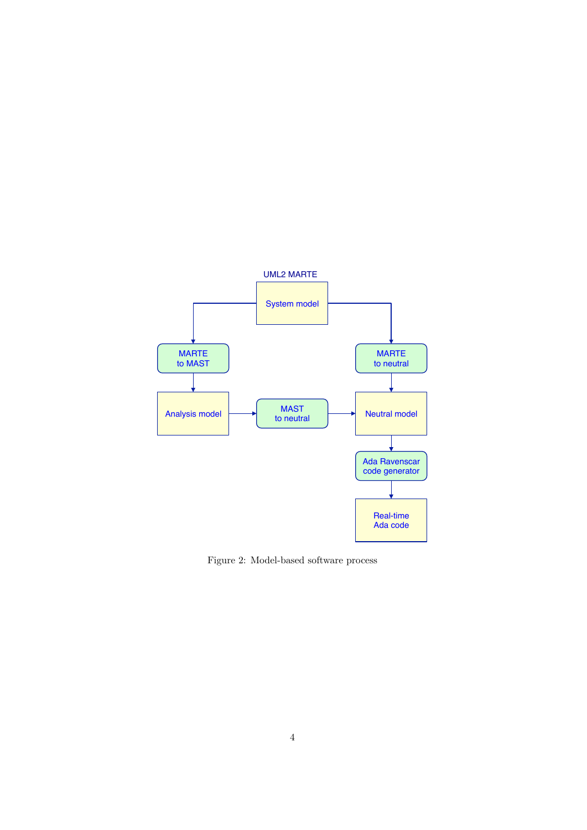

Figure 2: Model-based software process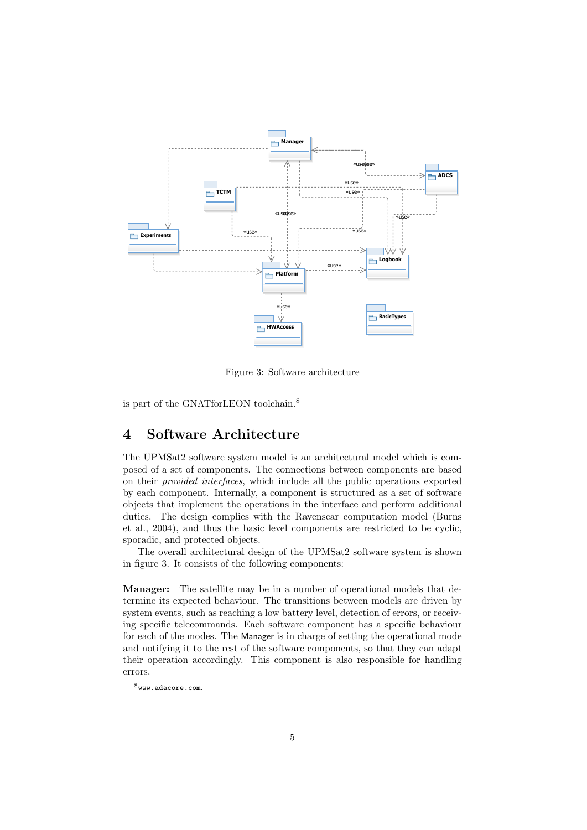

Figure 3: Software architecture

is part of the GNATforLEON toolchain.<sup>8</sup>

## 4 Software Architecture

The UPMSat2 software system model is an architectural model which is composed of a set of components. The connections between components are based on their provided interfaces, which include all the public operations exported by each component. Internally, a component is structured as a set of software objects that implement the operations in the interface and perform additional duties. The design complies with the Ravenscar computation model (Burns et al., 2004), and thus the basic level components are restricted to be cyclic, sporadic, and protected objects.

The overall architectural design of the UPMSat2 software system is shown in figure 3. It consists of the following components:

Manager: The satellite may be in a number of operational models that determine its expected behaviour. The transitions between models are driven by system events, such as reaching a low battery level, detection of errors, or receiving specific telecommands. Each software component has a specific behaviour for each of the modes. The Manager is in charge of setting the operational mode and notifying it to the rest of the software components, so that they can adapt their operation accordingly. This component is also responsible for handling errors.

 $8$ www.adacore.com.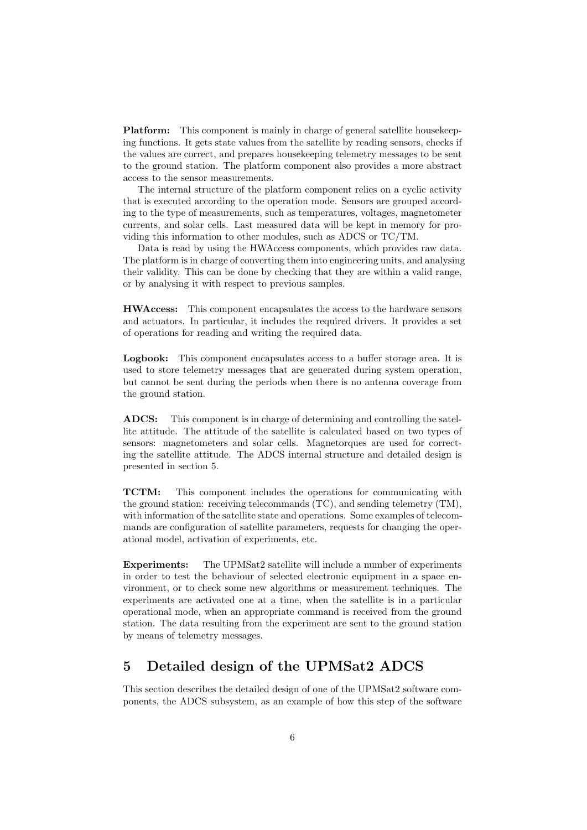Platform: This component is mainly in charge of general satellite housekeeping functions. It gets state values from the satellite by reading sensors, checks if the values are correct, and prepares housekeeping telemetry messages to be sent to the ground station. The platform component also provides a more abstract access to the sensor measurements.

The internal structure of the platform component relies on a cyclic activity that is executed according to the operation mode. Sensors are grouped according to the type of measurements, such as temperatures, voltages, magnetometer currents, and solar cells. Last measured data will be kept in memory for providing this information to other modules, such as ADCS or TC/TM.

Data is read by using the HWAccess components, which provides raw data. The platform is in charge of converting them into engineering units, and analysing their validity. This can be done by checking that they are within a valid range, or by analysing it with respect to previous samples.

HWAccess: This component encapsulates the access to the hardware sensors and actuators. In particular, it includes the required drivers. It provides a set of operations for reading and writing the required data.

Logbook: This component encapsulates access to a buffer storage area. It is used to store telemetry messages that are generated during system operation, but cannot be sent during the periods when there is no antenna coverage from the ground station.

ADCS: This component is in charge of determining and controlling the satellite attitude. The attitude of the satellite is calculated based on two types of sensors: magnetometers and solar cells. Magnetorques are used for correcting the satellite attitude. The ADCS internal structure and detailed design is presented in section 5.

TCTM: This component includes the operations for communicating with the ground station: receiving telecommands (TC), and sending telemetry (TM), with information of the satellite state and operations. Some examples of telecommands are configuration of satellite parameters, requests for changing the operational model, activation of experiments, etc.

Experiments: The UPMSat2 satellite will include a number of experiments in order to test the behaviour of selected electronic equipment in a space environment, or to check some new algorithms or measurement techniques. The experiments are activated one at a time, when the satellite is in a particular operational mode, when an appropriate command is received from the ground station. The data resulting from the experiment are sent to the ground station by means of telemetry messages.

## 5 Detailed design of the UPMSat2 ADCS

This section describes the detailed design of one of the UPMSat2 software components, the ADCS subsystem, as an example of how this step of the software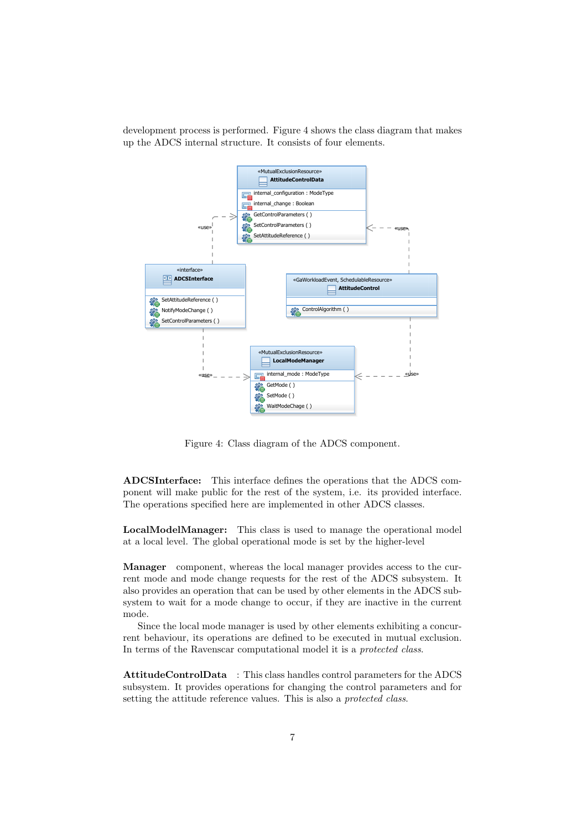development process is performed. Figure 4 shows the class diagram that makes up the ADCS internal structure. It consists of four elements.



Figure 4: Class diagram of the ADCS component.

ADCSInterface: This interface defines the operations that the ADCS component will make public for the rest of the system, i.e. its provided interface. The operations specified here are implemented in other ADCS classes.

LocalModelManager: This class is used to manage the operational model at a local level. The global operational mode is set by the higher-level

Manager component, whereas the local manager provides access to the current mode and mode change requests for the rest of the ADCS subsystem. It also provides an operation that can be used by other elements in the ADCS subsystem to wait for a mode change to occur, if they are inactive in the current mode.

Since the local mode manager is used by other elements exhibiting a concurrent behaviour, its operations are defined to be executed in mutual exclusion. In terms of the Ravenscar computational model it is a protected class.

AttitudeControlData : This class handles control parameters for the ADCS subsystem. It provides operations for changing the control parameters and for setting the attitude reference values. This is also a *protected class*.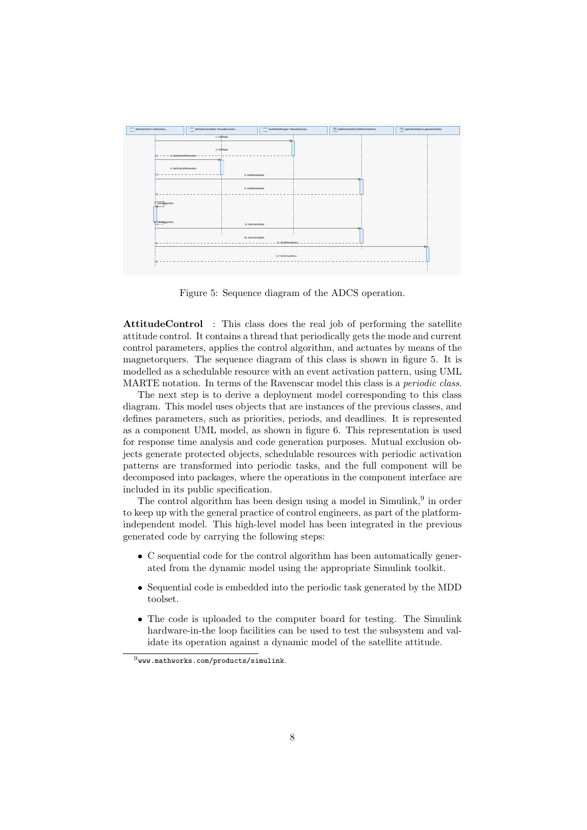

Figure 5: Sequence diagram of the ADCS operation.

AttitudeControl : This class does the real job of performing the satellite attitude control. It contains a thread that periodically gets the mode and current control parameters, applies the control algorithm, and actuates by means of the magnetorquers. The sequence diagram of this class is shown in figure 5. It is modelled as a schedulable resource with an event activation pattern, using UML MARTE notation. In terms of the Ravenscar model this class is a *periodic class*.

The next step is to derive a deployment model corresponding to this class diagram. This model uses objects that are instances of the previous classes, and defines parameters, such as priorities, periods, and deadlines. It is represented as a component UML model, as shown in figure 6. This representation is used for response time analysis and code generation purposes. Mutual exclusion objects generate protected objects, schedulable resources with periodic activation patterns are transformed into periodic tasks, and the full component will be decomposed into packages, where the operations in the component interface are included in its public specification.

The control algorithm has been design using a model in Simulink,<sup>9</sup> in order to keep up with the general practice of control engineers, as part of the platformindependent model. This high-level model has been integrated in the previous generated code by carrying the following steps:

- C sequential code for the control algorithm has been automatically generated from the dynamic model using the appropriate Simulink toolkit.
- Sequential code is embedded into the periodic task generated by the MDD toolset.
- The code is uploaded to the computer board for testing. The Simulink hardware-in-the loop facilities can be used to test the subsystem and validate its operation against a dynamic model of the satellite attitude.

<sup>9</sup>www.mathworks.com/products/simulink.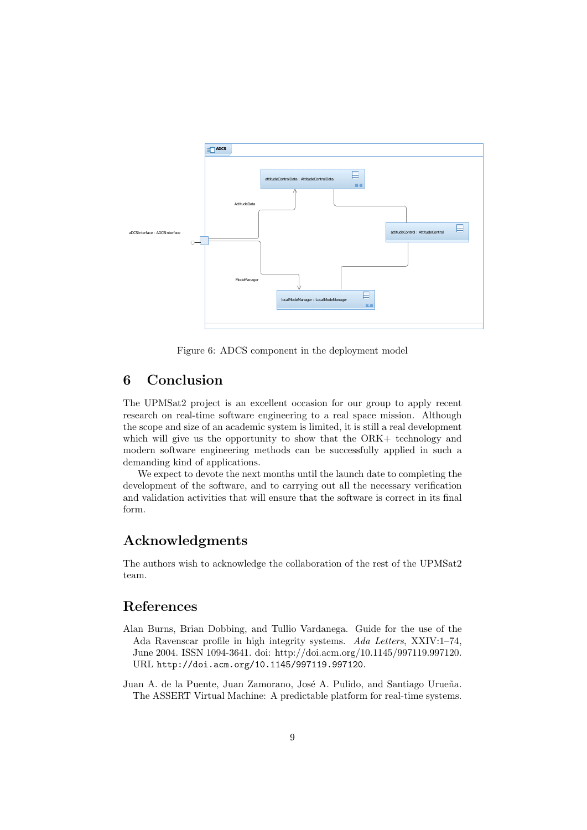

Figure 6: ADCS component in the deployment model

## 6 Conclusion

The UPMSat2 project is an excellent occasion for our group to apply recent research on real-time software engineering to a real space mission. Although the scope and size of an academic system is limited, it is still a real development which will give us the opportunity to show that the ORK+ technology and modern software engineering methods can be successfully applied in such a demanding kind of applications.

We expect to devote the next months until the launch date to completing the development of the software, and to carrying out all the necessary verification and validation activities that will ensure that the software is correct in its final form.

## Acknowledgments

The authors wish to acknowledge the collaboration of the rest of the UPMSat2 team.

## References

- Alan Burns, Brian Dobbing, and Tullio Vardanega. Guide for the use of the Ada Ravenscar profile in high integrity systems. Ada Letters, XXIV:1–74, June 2004. ISSN 1094-3641. doi: http://doi.acm.org/10.1145/997119.997120. URL http://doi.acm.org/10.1145/997119.997120.
- Juan A. de la Puente, Juan Zamorano, José A. Pulido, and Santiago Urueña. The ASSERT Virtual Machine: A predictable platform for real-time systems.